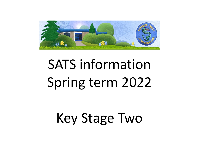

# SATS information Spring term 2022

# Key Stage Two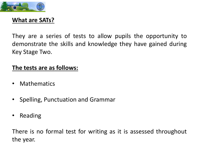

#### **What are SATs?**

They are a series of tests to allow pupils the opportunity to demonstrate the skills and knowledge they have gained during Key Stage Two.

#### **The tests are as follows:**

- Mathematics
- Spelling, Punctuation and Grammar
- Reading

There is no formal test for writing as it is assessed throughout the year.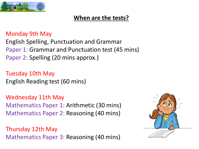

### **When are the tests?**

#### Monday 9th May

English Spelling, Punctuation and Grammar Paper 1: Grammar and Punctuation test (45 mins) Paper 2: Spelling (20 mins approx.)

Tuesday 10th May English Reading test (60 mins)

Wednesday 11th May Mathematics Paper 1: Arithmetic (30 mins) Mathematics Paper 2: Reasoning (40 mins)

Thursday 12th May Mathematics Paper 3: Reasoning (40 mins)

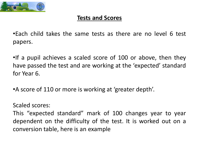

#### **Tests and Scores**

•Each child takes the same tests as there are no level 6 test papers.

•If a pupil achieves a scaled score of 100 or above, then they have passed the test and are working at the 'expected' standard for Year 6.

•A score of 110 or more is working at 'greater depth'.

Scaled scores:

This "expected standard" mark of 100 changes year to year dependent on the difficulty of the test. It is worked out on a conversion table, here is an example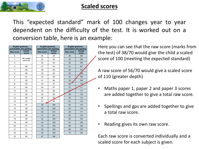

#### **Scaled scores**

This "expected standard" mark of 100 changes year to year dependent on the difficulty of the test. It is worked out on a conversion table, here is an example:

| English grammar,<br><u>punctuation and spelling</u><br><b>Beneviction</b><br><b>Scaled</b> |                        |  |  |  |
|--------------------------------------------------------------------------------------------|------------------------|--|--|--|
| <b>Raw score</b>                                                                           | <b>score</b>           |  |  |  |
| 0                                                                                          |                        |  |  |  |
| 1                                                                                          | No scaled<br>score (N) |  |  |  |
| 2                                                                                          |                        |  |  |  |
| 3                                                                                          | 80                     |  |  |  |
| 4                                                                                          | 80                     |  |  |  |
| 5                                                                                          | 80                     |  |  |  |
| 6                                                                                          | 81                     |  |  |  |
| 7                                                                                          | 82                     |  |  |  |
| 8                                                                                          | 83                     |  |  |  |
| 9                                                                                          | 84                     |  |  |  |
| 10                                                                                         | 84                     |  |  |  |
| 11                                                                                         | 85                     |  |  |  |
| 12                                                                                         | 86                     |  |  |  |
| 13                                                                                         | 87                     |  |  |  |
| 14                                                                                         | 87                     |  |  |  |
| 15                                                                                         | 88                     |  |  |  |
| 16                                                                                         | 88                     |  |  |  |
| 17                                                                                         | 89                     |  |  |  |
| 18                                                                                         | 90                     |  |  |  |
| 19                                                                                         | 90                     |  |  |  |
| 20                                                                                         | 91                     |  |  |  |
| 21                                                                                         | 91                     |  |  |  |
| 22                                                                                         | 92                     |  |  |  |
| 23                                                                                         | 92                     |  |  |  |

| English grammar,<br>unctuation and spelling |               |  | English grammar,<br>punctuation and spellin |               |
|---------------------------------------------|---------------|--|---------------------------------------------|---------------|
|                                             | <b>Scaled</b> |  |                                             | <b>Scaled</b> |
| Raw score                                   | score         |  | <b>Raw score</b>                            | score         |
| 24                                          | 93            |  | 48                                          | 105           |
| 25                                          | 93            |  | 49                                          | 106           |
| 26                                          | 94            |  | 50                                          | 106           |
| 27                                          | 94            |  | 51                                          | 107           |
| 28                                          | 95            |  | 52                                          | 107           |
| 29                                          | 95            |  | 53                                          | 108           |
| 30                                          | 96            |  | 54                                          | 109           |
| 31                                          | 96            |  | 55                                          | 109           |
| 32                                          | 97            |  | 56                                          | 110           |
| 33                                          | 97            |  | 57                                          | 111           |
| 34                                          | 98            |  | 59                                          | 111           |
| 35                                          | 98            |  | 59                                          | 112           |
| 36                                          | 99            |  | 60                                          | 113           |
| 37                                          | 99            |  | 61                                          | 114           |
| 38                                          | 100           |  | 62                                          | 115           |
| 39                                          | 100           |  | 63                                          | 116           |
| 40                                          | 101           |  | 64                                          | 117           |
| 41                                          | 101           |  | 65                                          | 118           |
| 42                                          | 102           |  | 66                                          | 120           |
| 43                                          | 102           |  | 67                                          | 120           |
| 44                                          | 103           |  | 68                                          | 120           |
| 45                                          | 103           |  | 69                                          | 120           |
| 46                                          | 104           |  | 70                                          | 120           |
| 47                                          | 104           |  |                                             |               |
|                                             |               |  |                                             |               |

Here you can see that the raw score (marks from the test) of 38/70 would give the child a scaled score of 100 (meeting the expected standard)

A raw score of 56/70 would give a scaled score of 110 (greater depth)

- Maths paper 1, paper 2 and paper 3 scores are added together to give a total raw score.
- Spellings and gps are added together to give a total raw score.
- Reading gives its own raw score.

Each raw score is converted individually and a scaled score for each subject is given.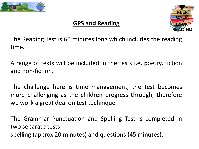

# **GPS and Reading**



The Reading Test is 60 minutes long which includes the reading time.

A range of texts will be included in the tests i.e. poetry, fiction and non-fiction.

The challenge here is time management, the test becomes more challenging as the children progress through, therefore we work a great deal on test technique.

The Grammar Punctuation and Spelling Test is completed in two separate tests: spelling (approx 20 minutes) and questions (45 minutes).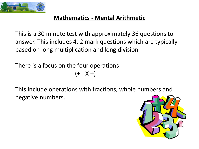

#### **Mathematics - Mental Arithmetic**

This is a 30 minute test with approximately 36 questions to answer. This includes 4, 2 mark questions which are typically based on long multiplication and long division.

There is a focus on the four operations  $(+ - X \div)$ 

This include operations with fractions, whole numbers and negative numbers.

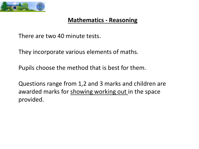

#### **Mathematics - Reasoning**

There are two 40 minute tests.

They incorporate various elements of maths.

Pupils choose the method that is best for them.

Questions range from 1,2 and 3 marks and children are awarded marks for showing working out in the space provided.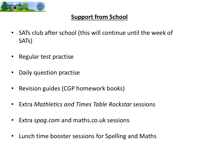

## **Support from School**

- SATs club after school (this will continue until the week of SATs)
- Regular test practise
- Daily question practise
- Revision guides (CGP homework books)
- Extra *Mathletics and Times Table Rockstar* sessions
- Extra *spag.com* and maths.co.uk sessions
- Lunch time booster sessions for Spelling and Maths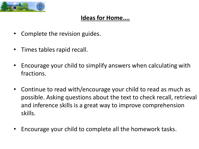

#### **Ideas for Home....**

- Complete the revision guides.
- Times tables rapid recall.
- Encourage your child to simplify answers when calculating with fractions.
- Continue to read with/encourage your child to read as much as possible. Asking questions about the text to check recall, retrieval and inference skills is a great way to improve comprehension skills.
- Encourage your child to complete all the homework tasks.